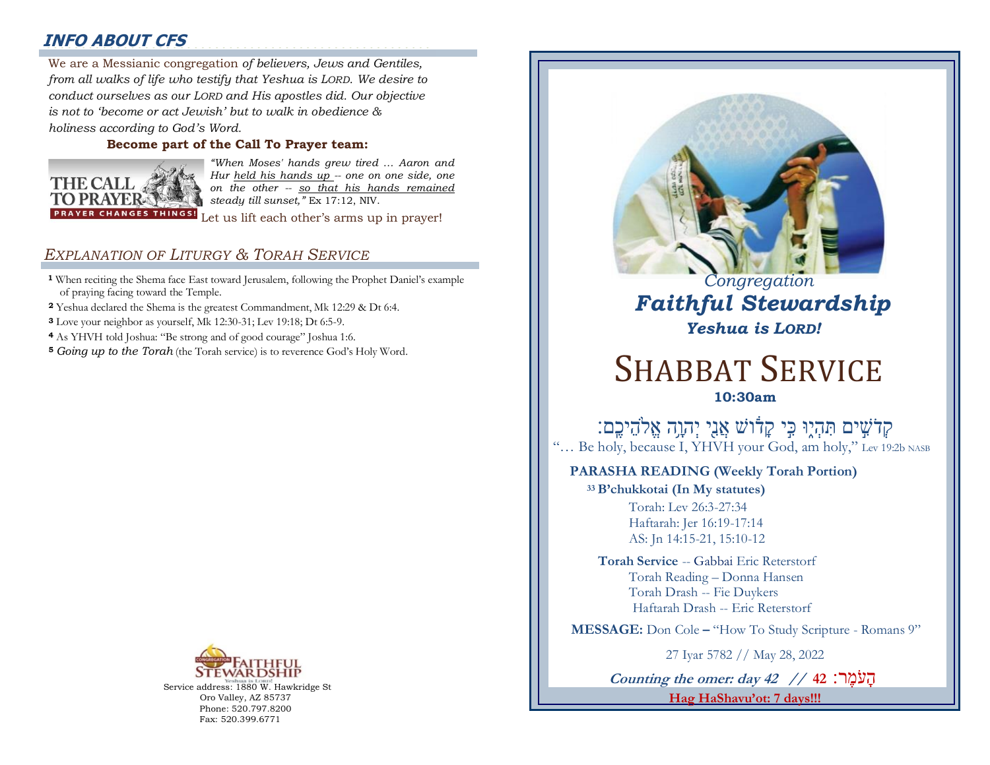# **INFO ABOUT CFS**

2000000000000000000000000000000000000000000000000000000 We are a Messianic congregation *of believers, Jews and Gentiles,*  : *from all walks of life who testify that Yeshua is LORD. We desire to conduct ourselves as our LORD and His apostles did. Our objective is not to 'become or act Jewish' but to walk in obedience & holiness according to God's Word.* 

### **Become part of the Call To Prayer team:**



*"When Moses' hands grew tired … Aaron and Hur held his hands up -- one on one side, one on the other -- so that his hands remained steady till sunset,"* Ex 17:12, NIV.

Let us lift each other's arms up in prayer!

### *EXPLANATION OF LITURGY & TORAH SERVICE*

- **<sup>1</sup>** When reciting the Shema face East toward Jerusalem, following the Prophet Daniel's example of praying facing toward the Temple.
- **<sup>2</sup>** Yeshua declared the Shema is the greatest Commandment, Mk 12:29 & Dt 6:4.
- **<sup>3</sup>** Love your neighbor as yourself, Mk 12:30-31; Lev 19:18; Dt 6:5-9.
- **<sup>4</sup>** As YHVH told Joshua: "Be strong and of good courage" Joshua 1:6.
- **<sup>5</sup>** *Going up to the Torah* (the Torah service) is to reverence God's Holy Word.



Service address: 1880 W. Hawkridge St Oro Valley, AZ 85737 Phone: 520.797.8200 Fax: 520.399.6771